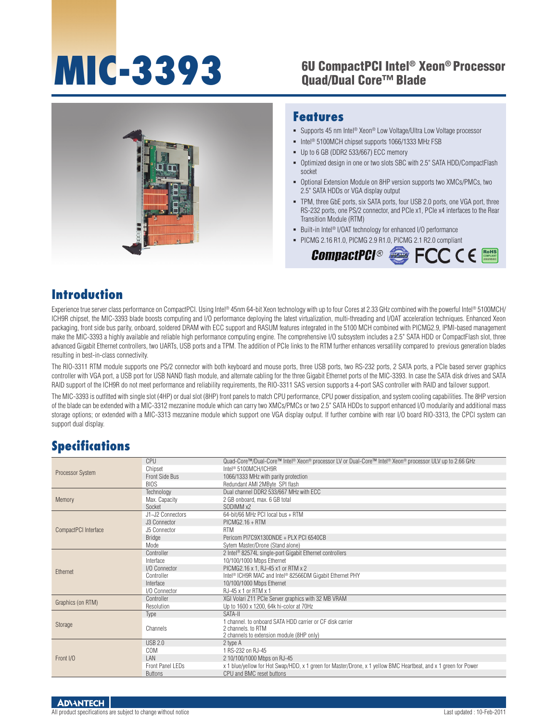### **MIC-3393** 6U CompactPCI Intel® Xeon® Processor Quad/Dual Core™ Blade



#### **Features**

- Supports 45 nm Intel<sup>®</sup> Xeon® Low Voltage/Ultra Low Voltage processor
- Intel<sup>®</sup> 5100MCH chipset supports 1066/1333 MHz FSB
- Up to 6 GB (DDR2 533/667) ECC memory
- Optimized design in one or two slots SBC with 2.5" SATA HDD/CompactFlash socket
- Optional Extension Module on 8HP version supports two XMCs/PMCs, two 2.5" SATA HDDs or VGA display output
- TPM, three GbE ports, six SATA ports, four USB 2.0 ports, one VGA port, three RS-232 ports, one PS/2 connector, and PCIe x1, PCIe x4 interfaces to the Rear Transition Module (RTM)
- Built-in Intel<sup>®</sup> I/OAT technology for enhanced I/O performance
- PICMG 2.16 R1.0, PICMG 2.9 R1.0, PICMG 2.1 R2.0 compliant



#### **Introduction**

Experience true server class performance on CompactPCI. Using Intel® 45nm 64-bit Xeon technology with up to four Cores at 2.33 GHz combined with the powerful Intel® 5100MCH/ ICH9R chipset, the MIC-3393 blade boosts computing and I/O performance deploying the latest virtualization, multi-threading and I/OAT acceleration techniques. Enhanced Xeon packaging, front side bus parity, onboard, soldered DRAM with ECC support and RASUM features integrated in the 5100 MCH combined with PICMG2.9, IPMI-based management make the MIC-3393 a highly available and reliable high performance computing engine. The comprehensive I/O subsystem includes a 2.5" SATA HDD or CompactFlash slot, three advanced Gigabit Ethernet controllers, two UARTs, USB ports and a TPM. The addition of PCIe links to the RTM further enhances versatility compared to previous generation blades resulting in best-in-class connectivity.

The RIO-3311 RTM module supports one PS/2 connector with both keyboard and mouse ports, three USB ports, two RS-232 ports, 2 SATA ports, a PCIe based server graphics controller with VGA port, a USB port for USB NAND flash module, and alternate cabling for the three Gigabit Ethernet ports of the MIC-3393. In case the SATA disk drives and SATA RAID support of the ICH9R do not meet performance and reliability requirements, the RIO-3311 SAS version supports a 4-port SAS controller with RAID and failover support.

The MIC-3393 is outfitted with single slot (4HP) or dual slot (8HP) front panels to match CPU performance, CPU power dissipation, and system cooling capabilities. The 8HP version of the blade can be extended with a MIC-3312 mezzanine module which can carry two XMCs/PMCs or two 2.5" SATA HDDs to support enhanced I/O modularity and additional mass storage options; or extended with a MIC-3313 mezzanine module which support one VGA display output. If further combine with rear I/O board RIO-3313, the CPCI system can support dual display.

#### **Specifications**

|                      | <b>CPU</b>       | Quad-Core™/Dual-Core™ Intel® Xeon® processor LV or Dual-Core™ Intel® Xeon® processor ULV up to 2.66 GHz         |
|----------------------|------------------|-----------------------------------------------------------------------------------------------------------------|
| Processor System     | Chipset          | Intel <sup>®</sup> 5100MCH/ICH9R                                                                                |
|                      | Front Side Bus   | 1066/1333 MHz with parity protection                                                                            |
|                      | <b>BIOS</b>      | Redundant AMI 2MByte SPI flash                                                                                  |
|                      | Technology       | Dual channel DDR2 533/667 MHz with ECC                                                                          |
| Memory               | Max. Capacity    | 2 GB onboard, max. 6 GB total                                                                                   |
|                      | Socket           | SODIMM <sub>x2</sub>                                                                                            |
|                      | J1~J2 Connectors | 64-bit/66 MHz PCI local bus + RTM                                                                               |
|                      | J3 Connector     | $PICMG2.16 + RTM$                                                                                               |
| CompactPCI Interface | J5 Connector     | <b>RTM</b>                                                                                                      |
|                      | <b>Bridge</b>    | Pericom PI7C9X130DNDE + PLX PCI 6540CB                                                                          |
|                      | Mode             | Sytem Master/Drone (Stand alone)                                                                                |
|                      | Controller       | 2 Intel <sup>®</sup> 82574L single-port Gigabit Ethernet controllers                                            |
| Ethernet             | Interface        | 10/100/1000 Mbps Ethernet                                                                                       |
|                      | I/O Connector    | PICMG2.16 x 1, RJ-45 x1 or RTM x 2                                                                              |
|                      | Controller       | Intel <sup>®</sup> ICH9R MAC and Intel <sup>®</sup> 82566DM Gigabit Ethernet PHY                                |
|                      | Interface        | 10/100/1000 Mbps Ethernet                                                                                       |
|                      | I/O Connector    | RJ-45 x 1 or RTM x 1                                                                                            |
| Graphics (on RTM)    | Controller       | XGI Volari Z11 PCIe Server graphics with 32 MB VRAM                                                             |
|                      | Resolution       | Up to 1600 x 1200, 64k hi-color at 70Hz                                                                         |
|                      | Type             | SATA-II                                                                                                         |
| Storage              |                  | 1 channel, to onboard SATA HDD carrier or CF disk carrier                                                       |
|                      | Channels         | 2 channels, to RTM                                                                                              |
|                      |                  | 2 channels to extension module (8HP only)                                                                       |
|                      | <b>USB 2.0</b>   | 2 type A                                                                                                        |
|                      | COM              | 1 RS-232 on RJ-45                                                                                               |
| Front I/O            | LAN              | 2 10/100/1000 Mbps on RJ-45                                                                                     |
|                      | Front Panel LEDs | x 1 blue/yellow for Hot Swap/HDD, x 1 green for Master/Drone, x 1 yellow BMC Heartbeat, and x 1 green for Power |
|                      | <b>Buttons</b>   | CPU and BMC reset buttons                                                                                       |

**ADVANTECH** 

All product specifications are subject to change without notice Last updated : 10-Feb-2011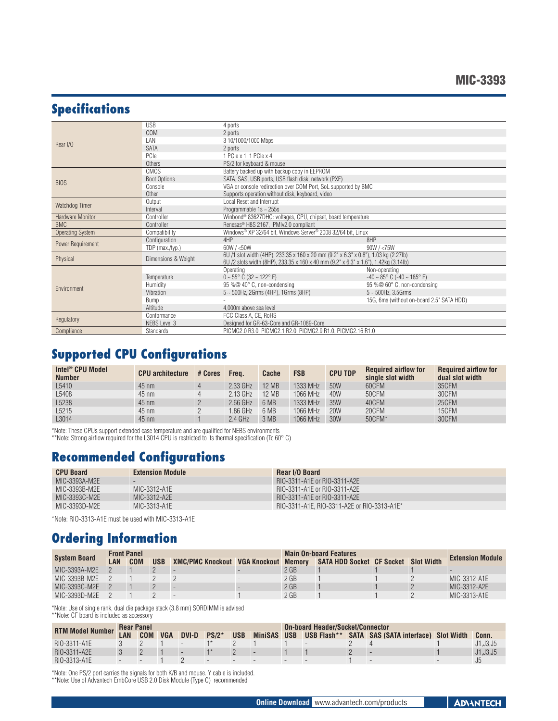# **Specifications**

|                         | <b>USB</b>          | 4 ports                                                                                                                                                                    |                                                     |  |  |  |  |  |
|-------------------------|---------------------|----------------------------------------------------------------------------------------------------------------------------------------------------------------------------|-----------------------------------------------------|--|--|--|--|--|
|                         | COM                 | 2 ports                                                                                                                                                                    |                                                     |  |  |  |  |  |
|                         | LAN                 | 3 10/1000/1000 Mbps                                                                                                                                                        |                                                     |  |  |  |  |  |
| Rear I/O                | <b>SATA</b>         | 2 ports                                                                                                                                                                    |                                                     |  |  |  |  |  |
|                         | PCIe                | 1 PCle x 1, 1 PCle x 4                                                                                                                                                     |                                                     |  |  |  |  |  |
|                         | Others              | PS/2 for keyboard & mouse                                                                                                                                                  |                                                     |  |  |  |  |  |
|                         | <b>CMOS</b>         | Battery backed up with backup copy in EEPROM                                                                                                                               |                                                     |  |  |  |  |  |
|                         | <b>Boot Options</b> | SATA, SAS, USB ports, USB flash disk, network (PXE)                                                                                                                        |                                                     |  |  |  |  |  |
| <b>BIOS</b>             | Console             | VGA or console redirection over COM Port, SoL supported by BMC                                                                                                             |                                                     |  |  |  |  |  |
|                         |                     |                                                                                                                                                                            |                                                     |  |  |  |  |  |
|                         | Other               | Supports operation without disk, keyboard, video                                                                                                                           |                                                     |  |  |  |  |  |
| Watchdog Timer          | Output              | Local Reset and Interrupt                                                                                                                                                  |                                                     |  |  |  |  |  |
|                         | Interval            | Programmable $1s \sim 255s$                                                                                                                                                |                                                     |  |  |  |  |  |
| <b>Hardware Monitor</b> | Controller          | Winbond® 83627DHG: voltages, CPU, chipset, board temperature                                                                                                               |                                                     |  |  |  |  |  |
| <b>BMC</b>              | Controller          | Renesas <sup>®</sup> H8S 2167, IPMIv2.0 compliant                                                                                                                          |                                                     |  |  |  |  |  |
| <b>Operating System</b> | Compatibility       | Windows® XP 32/64 bit, Windows Server® 2008 32/64 bit, Linux                                                                                                               |                                                     |  |  |  |  |  |
| Power Requirement       | Configuration       | 4HP                                                                                                                                                                        | 8HP                                                 |  |  |  |  |  |
|                         | TDP (max./typ.)     | 60W / <50W                                                                                                                                                                 | 90W / < 75W                                         |  |  |  |  |  |
| Physical                | Dimensions & Weight | 6U /1 slot width (4HP), 233.35 x 160 x 20 mm (9.2" x 6.3" x 0.8"), 1.03 kg (2.27lb)<br>6U /2 slots width (8HP), 233.35 x 160 x 40 mm (9.2" x 6.3" x 1.6"), 1.42kg (3.14lb) |                                                     |  |  |  |  |  |
|                         |                     | Operating                                                                                                                                                                  | Non-operating                                       |  |  |  |  |  |
|                         | Temperature         | $0 \sim 55^{\circ}$ C (32 ~ 122°F)                                                                                                                                         | $-40 \sim 85^{\circ}$ C ( $-40 \sim 185^{\circ}$ F) |  |  |  |  |  |
|                         | Humidity            | 95 %@ 40° C, non-condensing                                                                                                                                                | 95 %@ 60° C, non-condensing                         |  |  |  |  |  |
| Environment             | Vibration           | $5 - 500$ Hz, 2Grms (4HP), 1Grms (8HP)                                                                                                                                     | $5 - 500$ Hz, 3.5Grms                               |  |  |  |  |  |
|                         | Bump                |                                                                                                                                                                            | 15G, 6ms (without on-board 2.5" SATA HDD)           |  |  |  |  |  |
|                         | Altitude            | 4.000m above sea level                                                                                                                                                     |                                                     |  |  |  |  |  |
|                         | Conformance         | FCC Class A, CE, RoHS                                                                                                                                                      |                                                     |  |  |  |  |  |
| Regulatory              | <b>NEBS Level 3</b> | Designed for GR-63-Core and GR-1089-Core                                                                                                                                   |                                                     |  |  |  |  |  |
| Compliance              | Standards           | PICMG2.0 R3.0, PICMG2.1 R2.0, PICMG2.9 R1.0, PICMG2.16 R1.0                                                                                                                |                                                     |  |  |  |  |  |

# **Supported CPU Configurations**

| Intel <sup>®</sup> CPU Model<br><b>Number</b> | <b>CPU</b> architecture | # Cores | Freq.      | Cache        | <b>FSB</b> | <b>CPU TDP</b> | <b>Required airflow for</b><br>single slot width | <b>Required airflow for</b><br>dual slot width |
|-----------------------------------------------|-------------------------|---------|------------|--------------|------------|----------------|--------------------------------------------------|------------------------------------------------|
| L5410                                         | $45 \text{ nm}$         | 4       | 2.33 GHz   | <b>12 MB</b> | 1333 MHz   | 50W            | 60CFM                                            | 35CFM                                          |
| L5408                                         | $45 \text{ nm}$         | 4       | $2.13$ GHz | <b>12 MB</b> | 1066 MHz   | 40W            | 50CFM                                            | 30CFM                                          |
| L5238                                         | $45 \text{ nm}$         |         | $2.66$ GHz | 6 MB         | 1333 MHz   | 35W            | 40CFM                                            | 25CFM                                          |
| L5215                                         | $45 \text{ nm}$         |         | 1.86 GHz   | 6 MB         | 1066 MHz   | <b>20W</b>     | 20CFM                                            | 15CFM                                          |
| L3014                                         | $45 \text{ nm}$         |         | $2.4$ GHz  | 3 MB         | 1066 MHz   | 30W            | 50CFM*                                           | 30CFM                                          |

\*Note: These CPUs support extended case temperature and are qualified for NEBS environments

\*\*Note: Strong airflow required for the L3014 CPU is restricted to its thermal specification (Tc 60° C)

# **Recommended Configurations**

| <b>CPU Board</b> | <b>Extension Module</b> | Rear I/O Board                              |
|------------------|-------------------------|---------------------------------------------|
| MIC-3393A-M2E    |                         | RIO-3311-A1E or RIO-3311-A2E                |
| MIC-3393B-M2E    | MIC-3312-A1E            | RIO-3311-A1E or RIO-3311-A2E                |
| MIC-3393C-M2E    | MIC-3312-A2E            | RIO-3311-A1E or RIO-3311-A2E                |
| MIC-3393D-M2E    | MIC-3313-A1E            | RIO-3311-A1E. RIO-3311-A2E or RIO-3313-A1E* |
|                  |                         |                                             |

\*Note: RIO-3313-A1E must be used with MIC-3313-A1E

# **Ordering Information**

| <b>System Board</b> |     | <b>Front Panel</b> |            |                                             | <b>Main On-board Features</b> | <b>Extension Module</b>              |  |              |
|---------------------|-----|--------------------|------------|---------------------------------------------|-------------------------------|--------------------------------------|--|--------------|
|                     | LAN | <b>COM</b>         | <b>USB</b> | <b>XMC/PMC Knockout VGA Knockout Memory</b> |                               | SATA HDD Socket CF Socket Slot Width |  |              |
| MIC-3393A-M2E       |     |                    |            |                                             | $2$ GB                        |                                      |  |              |
| MIC-3393B-M2E       |     |                    |            |                                             | $2$ GB                        |                                      |  | MIC-3312-A1E |
| MIC-3393C-M2E       |     |                    |            |                                             | $2$ GB                        |                                      |  | MIC-3312-A2E |
| MIC-3393D-M2E       |     |                    |            |                                             | $2$ GB                        |                                      |  | MIC-3313-A1E |

\*Note: Use of single rank, dual die package stack (3.8 mm) SORDIMM is advised \*\*Note: CF board is included as accessory

|  |  |  | <b>TVOLO.</b> OF DOLLO TO ITIOIDUQUE AS AOUGSSOFY |  |
|--|--|--|---------------------------------------------------|--|
|  |  |  |                                                   |  |

| <b>RTM Model Number</b> |     | <b>Rear Panel</b> |            |       |         |            |             |   | <b>On-board Header/Socket/Connector</b> |  |                                             |  |          |  |
|-------------------------|-----|-------------------|------------|-------|---------|------------|-------------|---|-----------------------------------------|--|---------------------------------------------|--|----------|--|
|                         | LAN | <b>COM</b>        | <b>VGA</b> | DVI-D | $PS/2*$ | <b>USB</b> | MiniSAS USB |   | USB Flash**                             |  | <b>SATA SAS (SATA interface) Slot Width</b> |  | Conn.    |  |
| RIO-3311-A1E            |     |                   |            |       |         |            |             |   |                                         |  |                                             |  | J1,J3,J5 |  |
| RIO-3311-A2E            |     |                   |            |       |         |            |             |   |                                         |  |                                             |  | J1.J3.J5 |  |
| RIO-3313-A1E            |     |                   |            |       |         |            |             | - |                                         |  |                                             |  |          |  |

\*Note: One PS/2 port carries the signals for both K/B and mouse. Y cable is included. \*\*Note: Use of Advantech EmbCore USB 2.0 Disk Module (Type C) recommended